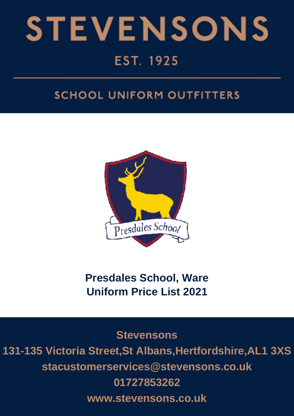

# **SCHOOL UNIFORM OUTFITTERS**



**Presdales School, Ware Uniform Price List 2021**

**Stevensons 131-135 Victoria Street,St Albans,Hertfordshire,AL1 3XS stacustomerservices@stevensons.co.uk 01727853262 www.stevensons.co.uk**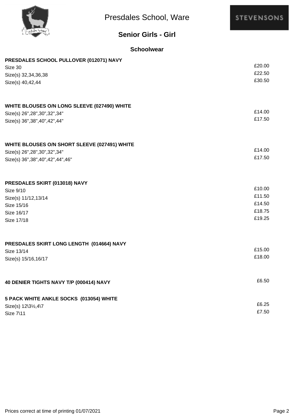

# **Senior Girls - Girl**

### **Schoolwear**

| PRESDALES SCHOOL PULLOVER (012071) NAVY       |        |
|-----------------------------------------------|--------|
| Size 30                                       | £20.00 |
| Size(s) 32,34,36,38                           | £22.50 |
| Size(s) 40,42,44                              | £30.50 |
|                                               |        |
| WHITE BLOUSES O/N LONG SLEEVE (027490) WHITE  |        |
| Size(s) 26", 28", 30", 32", 34"               | £14.00 |
| Size(s) 36", 38", 40", 42", 44"               | £17.50 |
|                                               |        |
| WHITE BLOUSES O/N SHORT SLEEVE (027491) WHITE |        |
| Size(s) 26", 28", 30", 32", 34"               | £14.00 |
| Size(s) 36", 38", 40", 42", 44", 46"          | £17.50 |
| PRESDALES SKIRT (013018) NAVY                 |        |
| Size 9/10                                     | £10.00 |
| Size(s) 11/12,13/14                           | £11.50 |
| Size 15/16                                    | £14.50 |
| Size 16/17                                    | £18.75 |
| Size 17/18                                    | £19.25 |
|                                               |        |
| PRESDALES SKIRT LONG LENGTH (014664) NAVY     |        |
| Size 13/14                                    | £15.00 |
| Size(s) 15/16,16/17                           | £18.00 |
| 40 DENIER TIGHTS NAVY T/P (000414) NAVY       | £6.50  |
|                                               |        |
| 5 PACK WHITE ANKLE SOCKS (013054) WHITE       |        |
| Size(s) 12\31/2,4\7                           | £6.25  |
| Size 7\11                                     | £7.50  |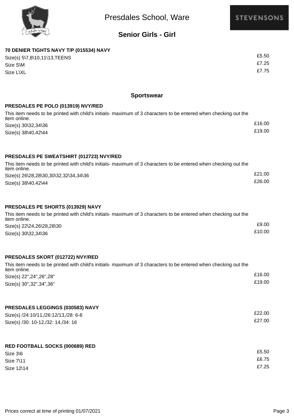

# **Senior Girls - Girl**

## **70 DENIER TIGHTS NAVY T/P (015534) NAVY** £5.50 Size(s) 5\7,8\10,11\13,TEENS £7.25 Size S\M £7.75 Size L\XL

#### **Sportswear**

#### **PRESDALES PE POLO (013919) NVY/RED**

| This item needs to be printed with child's initials- maximum of 3 characters to be entered when checking out the<br>item online. |        |
|----------------------------------------------------------------------------------------------------------------------------------|--------|
| Size(s) 30\32,34\36                                                                                                              | £16.00 |
| Size(s) 38\40,42\44                                                                                                              | £19.00 |

#### **PRESDALES PE SWEATSHIRT (012723) NVY/RED**

| This item needs to be printed with child's initials- maximum of 3 characters to be entered when checking out the<br>item online. |        |
|----------------------------------------------------------------------------------------------------------------------------------|--------|
| Size(s) 26\28,28\30,30\32,32\34,34\36                                                                                            | £21.00 |
| Size(s) 38\40,42\44                                                                                                              | £26.00 |

#### **PRESDALES PE SHORTS (013929) NAVY**

| This item needs to be printed with child's initials- maximum of 3 characters to be entered when checking out the |        |
|------------------------------------------------------------------------------------------------------------------|--------|
| item online.                                                                                                     |        |
| Size(s) 22\24,26\28,28\30                                                                                        | £9.00  |
| Size(s) 30\32,34\36                                                                                              | £10.00 |

#### **PRESDALES SKORT (012722) NVY/RED**

| This item needs to be printed with child's initials- maximum of 3 characters to be entered when checking out the<br>item online. |        |
|----------------------------------------------------------------------------------------------------------------------------------|--------|
| Size(s) 22", 24", 26", 28"                                                                                                       | £16.00 |
| Size(s) 30", 32", 34", 36"                                                                                                       | £19.00 |

| PRESDALES LEGGINGS (030583) NAVY     |        |
|--------------------------------------|--------|
| Size(s) /24:10/11,/26:12/13,/28: 6-8 | £22.00 |
| Size(s) /30: 10-12,/32: 14,/34: 16   | £27.00 |
|                                      |        |

#### **RED FOOTBALL SOCKS (000689) RED**

| Size 3\6   | £5.50 |
|------------|-------|
| Size 7\11  | £6.75 |
| Size 12\14 | £7.25 |